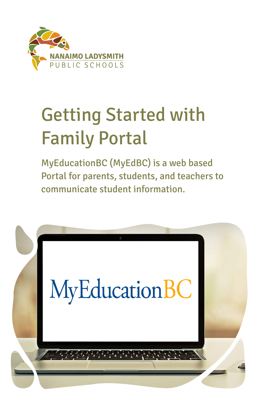

# Getting Started with Family Portal

MyEducationBC (MyEdBC) is a web based Portal for parents, students, and teachers to communicate student information.

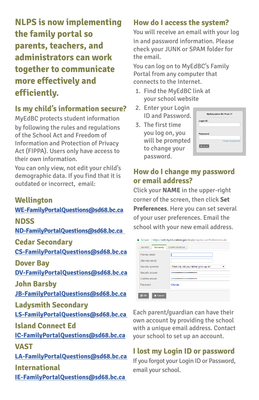**NLPS is now implementing the family portal so parents, teachers, and administrators can work together to communicate more effectively and efficiently.**

## **Is my child's information secure?**

MyEdBC protects student information by following the rules and regulations of the School Act and Freedom of Information and Protection of Privacy Act (FIPPA). Users only have access to their own information.

You can only view, not edit your child's demographic data. If you find that it is outdated or incorrect, email:

#### **Wellington**

#### **[WE-FamilyPortalQuestions@sd68.bc.ca](mailto:WE-FamilyPortalQuestions%40sd68.bc.ca?subject=MyEducationBC)**

#### **NDSS**

**[ND-FamilyPortalQuestions@sd68.bc.ca](mailto:ND-FamilyPortalQuestions%40sd68.bc.ca%20%20?subject=MyEducationBC)** 

**Cedar Secondary**

**[CS-FamilyPortalQuestions@sd68.bc.ca](mailto:CS-FamilyPortalQuestions%40sd68.bc.ca?subject=MyEducationBC)**

**Dover Bay** 

**[DV-FamilyPortalQuestions@sd68.bc.ca](mailto:DV-FamilyPortalQuestions%40sd68.bc.ca%20?subject=MyEducationBC)** 

**John Barsby**

**[JB-FamilyPortalQuestions@sd68.bc.ca](mailto:JB-FamilyPortalQuestions%40sd68.bc.ca?subject=MyEducationBC)**

#### **Ladysmith Secondary**

**[LS-FamilyPortalQuestions@sd68.bc.ca](mailto:LS-FamilyPortalQuestions%40sd68.bc.ca%20?subject=MyEducationBC)** 

#### **Island Connect Ed**

**[IC-FamilyPortalQuestions@sd68.bc.ca](mailto:IC-FamilyPortalQuestions%40sd68.bc.ca?subject=MyEducationBC) VAST**

**[LA-FamilyPortalQuestions@sd68.bc.ca](mailto:LA-FamilyPortalQuestions%40sd68.bc.ca%20?subject=MyEducationBC)  International**

**[IE-FamilyPortalQuestions@sd68.bc.ca](mailto:IE-FamilyPortalQuestions%40sd68.bc.ca%20?subject=MyEducationBC)** 

## **How do I access the system?**

You will receive an email with your log in and password information. Please check your JUNK or SPAM folder for the email.

You can log on to MyEdBC's Family Portal from any computer that connects to the Internet.

- 1. Find the MyEdBC link at your school website
- 2. Enter your Login ID and Password.
- 3. The first time you log on, you will be prompted to change your password.

|           | <b>MyEducation BC Prod 17</b> |
|-----------|-------------------------------|
| Login ID  |                               |
| Password  |                               |
|           | I forgot my password          |
| +9 Log On |                               |

### **How do I change my password or email address?**

Click your **NAME** in the upper-right corner of the screen, then click **Set Preferences**. Here you can set several of your user preferences. Email the school with your new email address.

| <b>Primary email</b> |                                       |
|----------------------|---------------------------------------|
| Alternate email      |                                       |
| Security question    | What city did your father grow up in? |
| Security answer      |                                       |
| Confirm answer       |                                       |
| Password             | Change                                |

Each parent/guardian can have their own account by providing the school with a unique email address. Contact your school to set up an account.

## **I lost my Login ID or password**

If you forgot your Login ID or Password, email your school.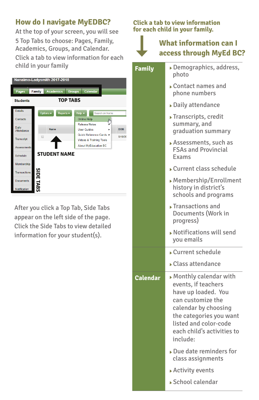## **How do I navigate MyEDBC?**

At the top of your screen, you will see 5 Top Tabs to choose: Pages, Family, Academics, Groups, and Calendar. Click a tab to view information for each child in your family

| Nanaimo-Ladysmith 2017-2018 |                  |                     |                                            |                                    |            |
|-----------------------------|------------------|---------------------|--------------------------------------------|------------------------------------|------------|
| Pages                       | Family           | <b>Academics</b>    | <b>Calendar</b><br><b>Groups</b>           |                                    |            |
| <b>Students</b>             |                  | <b>TOP TABS</b>     |                                            |                                    |            |
| <b>Details</b>              | Options v        | Reports v           | Help $\overline{\phantom{a}}$              | Search on Name                     |            |
| Contacts                    |                  |                     | <b>Online Help</b>                         | յհ                                 |            |
| Daily                       |                  | <b>Name</b>         | <b>Release Notes</b><br><b>User Guides</b> |                                    | <b>DOB</b> |
| Attendance                  |                  |                     |                                            | Quick Reference Cards ▶            |            |
| <b>Transcript</b>           | ⊓                |                     |                                            | <b>Videos &amp; Training Tools</b> | 8/18/20    |
| <b>Assessments</b>          |                  |                     | <b>About MyEducation BC</b>                |                                    |            |
| <b>Schedule</b>             |                  | <b>STUDENT NAME</b> |                                            |                                    |            |
| Membership                  |                  |                     |                                            |                                    |            |
| <b>Transactions</b>         |                  |                     |                                            |                                    |            |
| Documents                   | <b>SIDE TABS</b> |                     |                                            |                                    |            |
| Notification                |                  |                     |                                            |                                    |            |
|                             |                  |                     |                                            |                                    |            |

After you click a Top Tab, Side Tabs appear on the left side of the page. Click the Side Tabs to view detailed information for your student(s).

#### **Click a tab to view information for each child in your family.**

## **What information can I access through MyEd BC?**

- **Family** Demographics, address, photo
	- Contact names and phone numbers
	- Daily attendance
	- Transcripts, credit summary, and graduation summary
	- Assessments, such as FSAs and Provincial Exams
	- Current class schedule
	- Membership/Enrollment history in district's schools and programs
	- Transactions and Documents (Work in progress)
	- Notifications will send you emails
	- Current schedule
	- Class attendance
- **Calendar** Monthly calendar with events, if teachers have up loaded. You can customize the calendar by choosing the categories you want listed and color-code each child's activities to include:
	- Due date reminders for class assignments
	- Activity events
	- School calendar